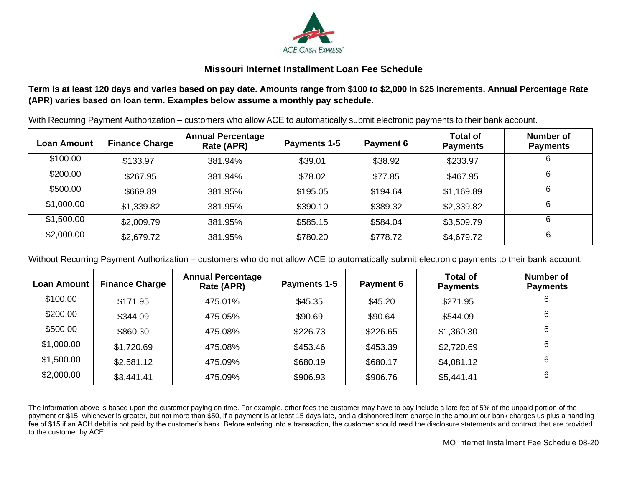

## **Missouri Internet Installment Loan Fee Schedule**

## **Term is at least 120 days and varies based on pay date. Amounts range from \$100 to \$2,000 in \$25 increments. Annual Percentage Rate (APR) varies based on loan term. Examples below assume a monthly pay schedule.**

With Recurring Payment Authorization – customers who allow ACE to automatically submit electronic payments to their bank account.

| Loan Amount | <b>Finance Charge</b> | <b>Annual Percentage</b><br>Rate (APR) | Payments 1-5 | <b>Payment 6</b> | <b>Total of</b><br><b>Payments</b> | Number of<br><b>Payments</b> |
|-------------|-----------------------|----------------------------------------|--------------|------------------|------------------------------------|------------------------------|
| \$100.00    | \$133.97              | 381.94%                                | \$39.01      | \$38.92          | \$233.97                           | 6                            |
| \$200.00    | \$267.95              | 381.94%                                | \$78.02      | \$77.85          | \$467.95                           | 6                            |
| \$500.00    | \$669.89              | 381.95%                                | \$195.05     | \$194.64         | \$1,169.89                         |                              |
| \$1,000.00  | \$1,339.82            | 381.95%                                | \$390.10     | \$389.32         | \$2,339.82                         | 6                            |
| \$1,500.00  | \$2,009.79            | 381.95%                                | \$585.15     | \$584.04         | \$3,509.79                         | 6                            |
| \$2,000.00  | \$2,679.72            | 381.95%                                | \$780.20     | \$778.72         | \$4,679.72                         | 6                            |

Without Recurring Payment Authorization – customers who do not allow ACE to automatically submit electronic payments to their bank account.

| <b>Loan Amount</b> | <b>Finance Charge</b> | <b>Annual Percentage</b><br>Rate (APR) | Payments 1-5 | Payment 6 | <b>Total of</b><br><b>Payments</b> | Number of<br><b>Payments</b> |
|--------------------|-----------------------|----------------------------------------|--------------|-----------|------------------------------------|------------------------------|
| \$100.00           | \$171.95              | 475.01%                                | \$45.35      | \$45.20   | \$271.95                           | 6                            |
| \$200.00           | \$344.09              | 475.05%                                | \$90.69      | \$90.64   | \$544.09                           | 6                            |
| \$500.00           | \$860.30              | 475.08%                                | \$226.73     | \$226.65  | \$1,360.30                         | 6                            |
| \$1,000.00         | \$1,720.69            | 475.08%                                | \$453.46     | \$453.39  | \$2,720.69                         | 6                            |
| \$1,500.00         | \$2,581.12            | 475.09%                                | \$680.19     | \$680.17  | \$4,081.12                         | 6                            |
| \$2,000.00         | \$3,441.41            | 475.09%                                | \$906.93     | \$906.76  | \$5,441.41                         | 6                            |

The information above is based upon the customer paying on time. For example, other fees the customer may have to pay include a late fee of 5% of the unpaid portion of the payment or \$15, whichever is greater, but not more than \$50, if a payment is at least 15 days late, and a dishonored item charge in the amount our bank charges us plus a handling fee of \$15 if an ACH debit is not paid by the customer's bank. Before entering into a transaction, the customer should read the disclosure statements and contract that are provided to the customer by ACE.